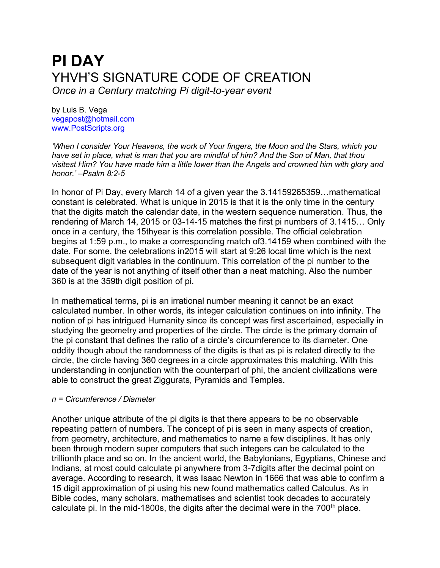# **PI DAY** YHVH'S SIGNATURE CODE OF CREATION *Once in a Century matching Pi digit-to-year event*

by Luis B. Vega [vegapost@hotmail.com](mailto:vegapost@hotmail.com) [www.PostScripts.org](http://www.postscripts.org/)

*'When I consider Your Heavens, the work of Your fingers, the Moon and the Stars, which you have set in place, what is man that you are mindful of him? And the Son of Man, that thou visitest Him? You have made him a little lower than the Angels and crowned him with glory and honor.' –Psalm 8:2-5*

In honor of Pi Day, every March 14 of a given year the 3.14159265359…mathematical constant is celebrated. What is unique in 2015 is that it is the only time in the century that the digits match the calendar date, in the western sequence numeration. Thus, the rendering of March 14, 2015 or 03-14-15 matches the first pi numbers of 3.1415… Only once in a century, the 15thyear is this correlation possible. The official celebration begins at 1:59 p.m., to make a corresponding match of3.14159 when combined with the date. For some, the celebrations in2015 will start at 9:26 local time which is the next subsequent digit variables in the continuum. This correlation of the pi number to the date of the year is not anything of itself other than a neat matching. Also the number 360 is at the 359th digit position of pi.

In mathematical terms, pi is an irrational number meaning it cannot be an exact calculated number. In other words, its integer calculation continues on into infinity. The notion of pi has intrigued Humanity since its concept was first ascertained, especially in studying the geometry and properties of the circle. The circle is the primary domain of the pi constant that defines the ratio of a circle's circumference to its diameter. One oddity though about the randomness of the digits is that as pi is related directly to the circle, the circle having 360 degrees in a circle approximates this matching. With this understanding in conjunction with the counterpart of phi, the ancient civilizations were able to construct the great Ziggurats, Pyramids and Temples.

### *ᴨ = Circumference / Diameter*

Another unique attribute of the pi digits is that there appears to be no observable repeating pattern of numbers. The concept of pi is seen in many aspects of creation, from geometry, architecture, and mathematics to name a few disciplines. It has only been through modern super computers that such integers can be calculated to the trillionth place and so on. In the ancient world, the Babylonians, Egyptians, Chinese and Indians, at most could calculate pi anywhere from 3-7digits after the decimal point on average. According to research, it was Isaac Newton in 1666 that was able to confirm a 15 digit approximation of pi using his new found mathematics called Calculus. As in Bible codes, many scholars, mathematises and scientist took decades to accurately calculate pi. In the mid-1800s, the digits after the decimal were in the  $700<sup>th</sup>$  place.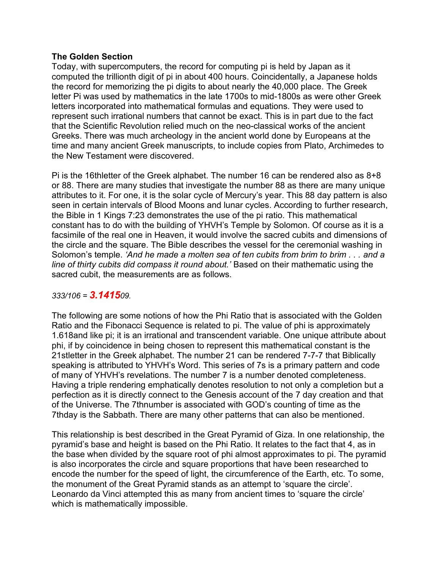## **The Golden Section**

Today, with supercomputers, the record for computing pi is held by Japan as it computed the trillionth digit of pi in about 400 hours. Coincidentally, a Japanese holds the record for memorizing the pi digits to about nearly the 40,000 place. The Greek letter Pi was used by mathematics in the late 1700s to mid-1800s as were other Greek letters incorporated into mathematical formulas and equations. They were used to represent such irrational numbers that cannot be exact. This is in part due to the fact that the Scientific Revolution relied much on the neo-classical works of the ancient Greeks. There was much archeology in the ancient world done by Europeans at the time and many ancient Greek manuscripts, to include copies from Plato, Archimedes to the New Testament were discovered.

Pi is the 16thletter of the Greek alphabet. The number 16 can be rendered also as 8+8 or 88. There are many studies that investigate the number 88 as there are many unique attributes to it. For one, it is the solar cycle of Mercury's year. This 88 day pattern is also seen in certain intervals of Blood Moons and lunar cycles. According to further research, the Bible in 1 Kings 7:23 demonstrates the use of the pi ratio. This mathematical constant has to do with the building of YHVH's Temple by Solomon. Of course as it is a facsimile of the real one in Heaven, it would involve the sacred cubits and dimensions of the circle and the square. The Bible describes the vessel for the ceremonial washing in Solomon's temple. *'And he made a molten sea of ten cubits from brim to brim . . . and a line of thirty cubits did compass it round about.'* Based on their mathematic using the sacred cubit, the measurements are as follows.

## *333/106 = 3.141509.*

The following are some notions of how the Phi Ratio that is associated with the Golden Ratio and the Fibonacci Sequence is related to pi. The value of phi is approximately 1.618and like pi; it is an irrational and transcendent variable. One unique attribute about phi, if by coincidence in being chosen to represent this mathematical constant is the 21stletter in the Greek alphabet. The number 21 can be rendered 7-7-7 that Biblically speaking is attributed to YHVH's Word. This series of 7s is a primary pattern and code of many of YHVH's revelations. The number 7 is a number denoted completeness. Having a triple rendering emphatically denotes resolution to not only a completion but a perfection as it is directly connect to the Genesis account of the 7 day creation and that of the Universe. The 7thnumber is associated with GOD's counting of time as the 7thday is the Sabbath. There are many other patterns that can also be mentioned.

This relationship is best described in the Great Pyramid of Giza. In one relationship, the pyramid's base and height is based on the Phi Ratio. It relates to the fact that 4, as in the base when divided by the square root of phi almost approximates to pi. The pyramid is also incorporates the circle and square proportions that have been researched to encode the number for the speed of light, the circumference of the Earth, etc. To some, the monument of the Great Pyramid stands as an attempt to 'square the circle'. Leonardo da Vinci attempted this as many from ancient times to 'square the circle' which is mathematically impossible.